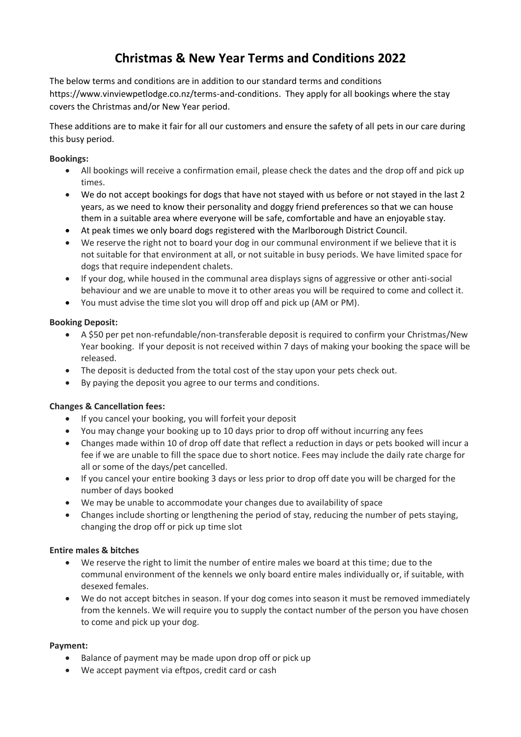# **Christmas & New Year Terms and Conditions 2022**

The below terms and conditions are in addition to our standard terms and conditions https://www.vinviewpetlodge.co.nz/terms-and-conditions. They apply for all bookings where the stay covers the Christmas and/or New Year period.

These additions are to make it fair for all our customers and ensure the safety of all pets in our care during this busy period.

### **Bookings:**

- All bookings will receive a confirmation email, please check the dates and the drop off and pick up times.
- We do not accept bookings for dogs that have not stayed with us before or not stayed in the last 2 years, as we need to know their personality and doggy friend preferences so that we can house them in a suitable area where everyone will be safe, comfortable and have an enjoyable stay.
- At peak times we only board dogs registered with the Marlborough District Council.
- We reserve the right not to board your dog in our communal environment if we believe that it is not suitable for that environment at all, or not suitable in busy periods. We have limited space for dogs that require independent chalets.
- If your dog, while housed in the communal area displays signs of aggressive or other anti-social behaviour and we are unable to move it to other areas you will be required to come and collect it.
- You must advise the time slot you will drop off and pick up (AM or PM).

### **Booking Deposit:**

- A \$50 per pet non-refundable/non-transferable deposit is required to confirm your Christmas/New Year booking. If your deposit is not received within 7 days of making your booking the space will be released.
- The deposit is deducted from the total cost of the stay upon your pets check out.
- By paying the deposit you agree to our terms and conditions.

# **Changes & Cancellation fees:**

- If you cancel your booking, you will forfeit your deposit
- You may change your booking up to 10 days prior to drop off without incurring any fees
- Changes made within 10 of drop off date that reflect a reduction in days or pets booked will incur a fee if we are unable to fill the space due to short notice. Fees may include the daily rate charge for all or some of the days/pet cancelled.
- If you cancel your entire booking 3 days or less prior to drop off date you will be charged for the number of days booked
- We may be unable to accommodate your changes due to availability of space
- Changes include shorting or lengthening the period of stay, reducing the number of pets staying, changing the drop off or pick up time slot

# **Entire males & bitches**

- We reserve the right to limit the number of entire males we board at this time; due to the communal environment of the kennels we only board entire males individually or, if suitable, with desexed females.
- We do not accept bitches in season. If your dog comes into season it must be removed immediately from the kennels. We will require you to supply the contact number of the person you have chosen to come and pick up your dog.

#### **Payment:**

- Balance of payment may be made upon drop off or pick up
- We accept payment via eftpos, credit card or cash